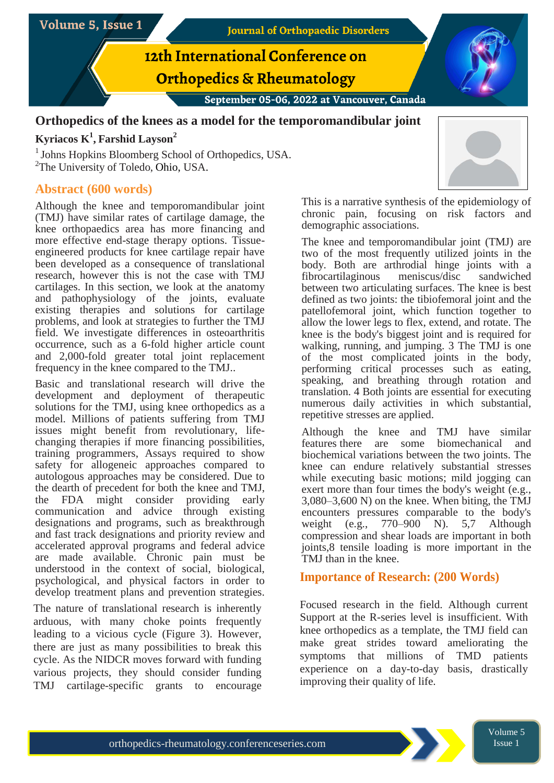

## **Orthopedics of the knees as a model for the temporomandibular joint**

# **Kyriacos K 1 , Farshid Layson<sup>2</sup>**

<sup>1</sup> Johns Hopkins Bloomberg School of Orthopedics, USA. <sup>2</sup>The University of Toledo, Ohio, USA.

## **Abstract (600 words)**

Although the knee and temporomandibular joint (TMJ) have similar rates of cartilage damage, the knee orthopaedics area has more financing and more effective end-stage therapy options. Tissueengineered products for knee cartilage repair have been developed as a consequence of translational research, however this is not the case with TMJ cartilages. In this section, we look at the anatomy and pathophysiology of the joints, evaluate existing therapies and solutions for cartilage problems, and look at strategies to further the TMJ field. We investigate differences in osteoarthritis occurrence, such as a 6-fold higher article count and 2,000-fold greater total joint replacement frequency in the knee compared to the TMJ..

Basic and translational research will drive the development and deployment of therapeutic solutions for the TMJ, using knee orthopedics as a model. Millions of patients suffering from TMJ issues might benefit from revolutionary, lifechanging therapies if more financing possibilities, training programmers, Assays required to show safety for allogeneic approaches compared to autologous approaches may be considered. Due to the dearth of precedent for both the knee and TMJ, the FDA might consider providing early communication and advice through existing designations and programs, such as breakthrough and fast track designations and priority review and accelerated approval programs and federal advice are made available. Chronic pain must be understood in the context of social, biological, psychological, and physical factors in order to develop treatment plans and prevention strategies.

The nature of translational research is inherently arduous, with many choke points frequently leading to a vicious cycle (Figure 3). However, there are just as many possibilities to break this cycle. As the NIDCR moves forward with funding various projects, they should consider funding TMJ cartilage-specific grants to encourage



This is a narrative synthesis of the epidemiology of chronic pain, focusing on risk factors and demographic associations.

The knee and temporomandibular joint (TMJ) are two of the most frequently utilized joints in the body. Both are arthrodial hinge joints with a fibrocartilaginous meniscus/disc sandwiched between two articulating surfaces. The knee is best defined as two joints: the tibiofemoral joint and the patellofemoral joint, which function together to allow the lower legs to flex, extend, and rotate. The knee is the body's biggest joint and is required for walking, running, and jumping. 3 The TMJ is one of the most complicated joints in the body, performing critical processes such as eating, speaking, and breathing through rotation and translation. 4 Both joints are essential for executing numerous daily activities in which substantial, repetitive stresses are applied.

Although the knee and TMJ have similar features there are some biomechanical and biochemical variations between the two joints. The knee can endure relatively substantial stresses while executing basic motions; mild jogging can exert more than four times the body's weight (e.g., 3,080–3,600 N) on the knee. When biting, the TMJ encounters pressures comparable to the body's weight (e.g., 770–900 N). 5,7 Although compression and shear loads are important in both joints,8 tensile loading is more important in the TMJ than in the knee.

## **Importance of Research: (200 Words)**

Focused research in the field. Although current Support at the R-series level is insufficient. With knee orthopedics as a template, the TMJ field can make great strides toward ameliorating the symptoms that millions of TMD patients experience on a day-to-day basis, drastically improving their quality of life.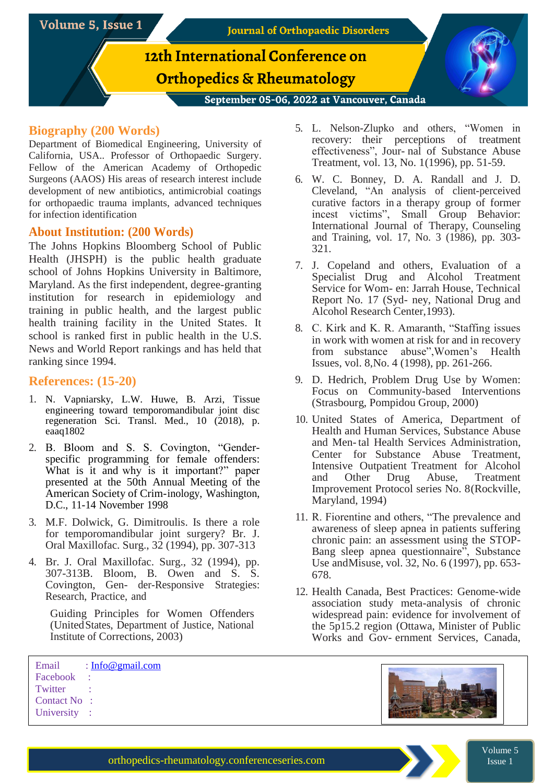

#### **Biography (200 Words)**

Department of Biomedical Engineering, University of California, USA.. Professor of Orthopaedic Surgery. Fellow of the American Academy of Orthopedic Surgeons (AAOS) His areas of research interest include development of new antibiotics, antimicrobial coatings for orthopaedic trauma implants, advanced techniques for infection identification

#### **About Institution: (200 Words)**

The Johns Hopkins Bloomberg School of Public Health (JHSPH) is the public health graduate school of Johns Hopkins University in Baltimore, Maryland. As the first independent, degree-granting institution for research in epidemiology and training in public health, and the largest public health training facility in the United States. It school is ranked first in public health in the U.S. News and World Report rankings and has held that ranking since 1994.

#### **References: (15-20)**

- 1. N. Vapniarsky, L.W. Huwe, B. Arzi, Tissue engineering toward temporomandibular joint disc regeneration Sci. Transl. Med., 10 (2018), p. eaaq1802
- 2. B. Bloom and S. S. Covington, "Genderspecific programming for female offenders: What is it and why is it important?" paper presented at the 50th Annual Meeting of the American Society of Crim-inology, Washington, D.C., 11-14 November 1998
- 3. M.F. Dolwick, G. Dimitroulis. Is there a role for temporomandibular joint surgery? Br. J. Oral Maxillofac. Surg., 32 (1994), pp. 307-313
- 4. Br. J. Oral Maxillofac. Surg., 32 (1994), pp. 307-313B. Bloom, B. Owen and S. S. Covington, Gen- der-Responsive Strategies: Research, Practice, and

Guiding Principles for Women Offenders (UnitedStates, Department of Justice, National Institute of Corrections, 2003)

- 5. L. Nelson-Zlupko and others, "Women in recovery: their perceptions of treatment effectiveness", Jour- nal of Substance Abuse Treatment, vol. 13, No. 1(1996), pp. 51-59.
- 6. W. C. Bonney, D. A. Randall and J. D. Cleveland, "An analysis of client-perceived curative factors in a therapy group of former incest victims", Small Group Behavior: International Journal of Therapy, Counseling and Training, vol. 17, No. 3 (1986), pp. 303- 321.
- 7. J. Copeland and others, Evaluation of a Specialist Drug and Alcohol Treatment Service for Wom- en: Jarrah House, Technical Report No. 17 (Syd- ney, National Drug and Alcohol Research Center,1993).
- 8. C. Kirk and K. R. Amaranth, "Staffing issues in work with women at risk for and in recovery from substance abuse",Women's Health Issues, vol. 8,No. 4 (1998), pp. 261-266.
- 9. D. Hedrich, Problem Drug Use by Women: Focus on Community-based Interventions (Strasbourg, Pompidou Group, 2000)
- 10. United States of America, Department of Health and Human Services, Substance Abuse and Men-tal Health Services Administration, Center for Substance Abuse Treatment, Intensive Outpatient Treatment for Alcohol and Other Drug Abuse, Treatment Improvement Protocol series No. 8(Rockville, Maryland, 1994)
- 11. R. Fiorentine and others, "The prevalence and awareness of sleep apnea in patients suffering chronic pain: an assessment using the STOP-Bang sleep apnea questionnaire", Substance Use andMisuse, vol. 32, No. 6 (1997), pp. 653- 678.
- 12. Health Canada, Best Practices: Genome-wide association study meta-analysis of chronic widespread pain: evidence for involvement of the 5p15.2 region (Ottawa, Minister of Public Works and Gov- ernment Services, Canada,

Email : Info@gmail.com Facebook : **Twitter** Contact No : University :



Volume 5 Issue 1